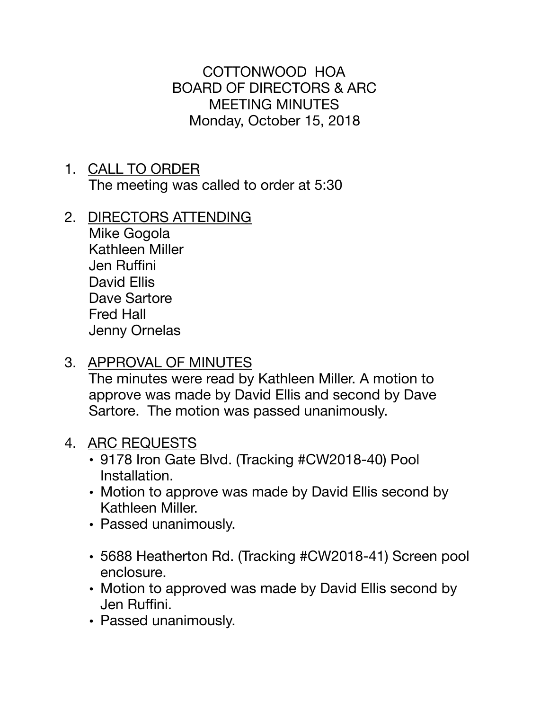COTTONWOOD HOA BOARD OF DIRECTORS & ARC MEETING MINUTES Monday, October 15, 2018

- 1. CALL TO ORDER The meeting was called to order at 5:30
- 2. DIRECTORS ATTENDING

Mike Gogola Kathleen Miller Jen Ruffini David Ellis Dave Sartore Fred Hall Jenny Ornelas

3. APPROVAL OF MINUTES

The minutes were read by Kathleen Miller. A motion to approve was made by David Ellis and second by Dave Sartore. The motion was passed unanimously.

- 4. ARC REQUESTS
	- 9178 Iron Gate Blvd. (Tracking #CW2018-40) Pool Installation.
	- Motion to approve was made by David Ellis second by Kathleen Miller.
	- Passed unanimously.
	- 5688 Heatherton Rd. (Tracking #CW2018-41) Screen pool enclosure.
	- Motion to approved was made by David Ellis second by Jen Ruffini.
	- Passed unanimously.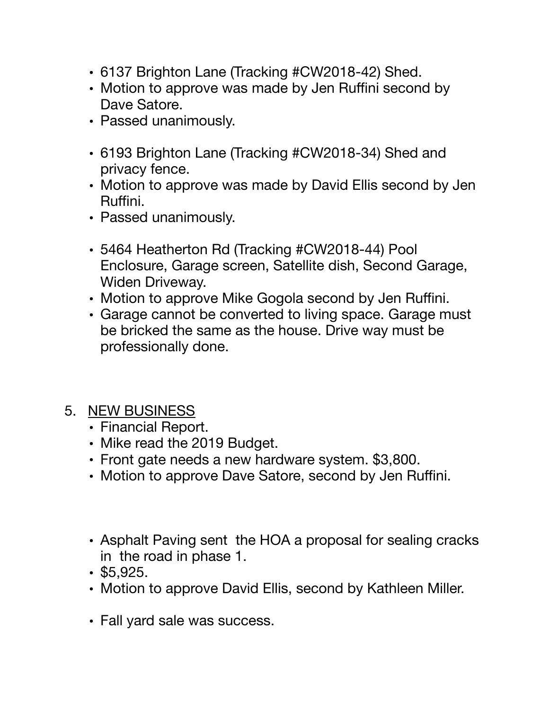- 6137 Brighton Lane (Tracking #CW2018-42) Shed.
- Motion to approve was made by Jen Ruffini second by Dave Satore.
- Passed unanimously.
- 6193 Brighton Lane (Tracking #CW2018-34) Shed and privacy fence.
- Motion to approve was made by David Ellis second by Jen Ruffini.
- Passed unanimously.
- 5464 Heatherton Rd (Tracking #CW2018-44) Pool Enclosure, Garage screen, Satellite dish, Second Garage, Widen Driveway.
- Motion to approve Mike Gogola second by Jen Ruffini.
- Garage cannot be converted to living space. Garage must be bricked the same as the house. Drive way must be professionally done.
- 5. NEW BUSINESS
	- Financial Report.
	- Mike read the 2019 Budget.
	- Front gate needs a new hardware system. \$3,800.
	- Motion to approve Dave Satore, second by Jen Ruffini.
	- Asphalt Paving sent the HOA a proposal for sealing cracks in the road in phase 1.
	- \$5,925.
	- Motion to approve David Ellis, second by Kathleen Miller.
	- Fall yard sale was success.